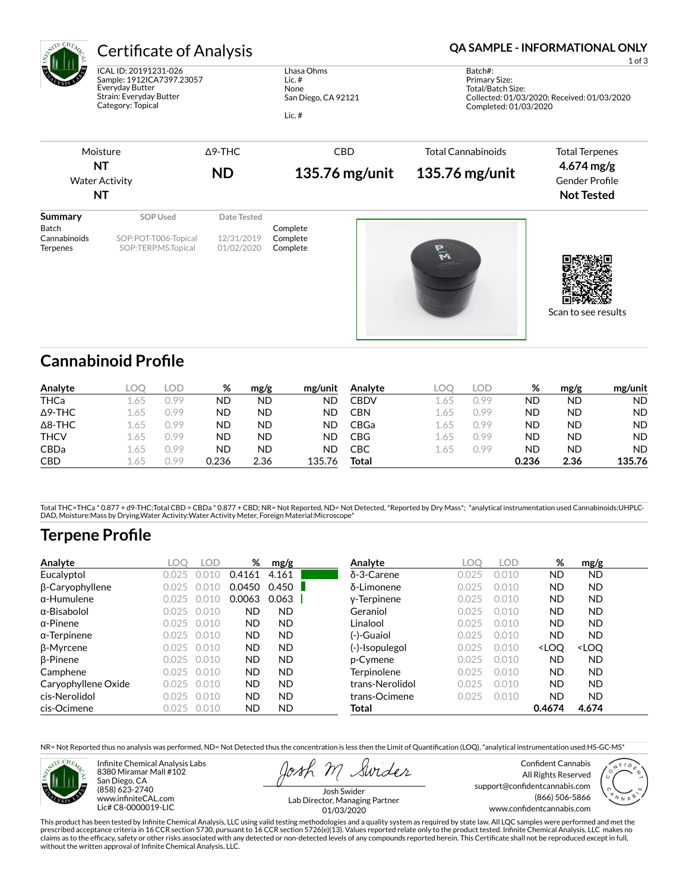| ATE CHE                                         | <b>Certificate of Analysis</b>                                                                                        |                          |                                                                   |                |                                                                                                                       | <b>QA SAMPLE - INFORMATIONAL ONLY</b><br>$1$ of $3$                   |  |  |  |
|-------------------------------------------------|-----------------------------------------------------------------------------------------------------------------------|--------------------------|-------------------------------------------------------------------|----------------|-----------------------------------------------------------------------------------------------------------------------|-----------------------------------------------------------------------|--|--|--|
|                                                 | ICAL ID: 20191231-026<br>Sample: 1912ICA7397.23057<br>Everyday Butter<br>Strain: Everyday Butter<br>Category: Topical |                          | Lhasa Ohms<br>Lic. $#$<br>None<br>San Diego, CA 92121<br>Lic. $#$ |                | Batch#:<br>Primary Size:<br>Total/Batch Size:<br>Collected: 01/03/2020; Received: 01/03/2020<br>Completed: 01/03/2020 |                                                                       |  |  |  |
|                                                 | Moisture                                                                                                              | $\triangle$ 9-THC        |                                                                   | <b>CBD</b>     | <b>Total Cannabinoids</b>                                                                                             | <b>Total Terpenes</b>                                                 |  |  |  |
| <b>NT</b><br><b>Water Activity</b><br><b>NT</b> |                                                                                                                       | <b>ND</b>                |                                                                   | 135.76 mg/unit | 135.76 mg/unit                                                                                                        | $4.674 \,\mathrm{mg/g}$<br><b>Gender Profile</b><br><b>Not Tested</b> |  |  |  |
| <b>Summary</b><br>Batch                         | SOP Used                                                                                                              | Date Tested              | Complete                                                          |                |                                                                                                                       |                                                                       |  |  |  |
| Cannabinoids<br><b>Terpenes</b>                 | SOP:POT-T006-Topical<br>SOP:TERP.MS.Topical                                                                           | 12/31/2019<br>01/02/2020 | Complete<br>Complete                                              |                | $\bar{\mathbf{v}}$                                                                                                    | Scan to see results                                                   |  |  |  |

# **Cannabinoid Profile**

| Analyte        | LOO | _OD_ | ℅         | mg/g | mg/unit | Analyte     | LOC  | LOD. | %     | mg/g | mg/unit   |
|----------------|-----|------|-----------|------|---------|-------------|------|------|-------|------|-----------|
| <b>THCa</b>    | .65 | ).99 | ΝD        | ND   | ND      | CBDV        | L.65 | 0.99 | ND    | ND   | <b>ND</b> |
| $\Delta$ 9-THC | .65 | ).99 | ND        | ND   | ND      | CBN         | 1.65 | 0.99 | ND    | ND   | ND.       |
| $\Delta$ 8-THC | .65 | ).99 | <b>ND</b> | ND   | ND      | <b>CBGa</b> | 1.65 | 0.99 | ND    | ND   | ND.       |
| <b>THCV</b>    | .65 | ).99 | <b>ND</b> | ND   | ND      | CBG         | 1.65 | 0.99 | ND    | ND   | <b>ND</b> |
| <b>CBDa</b>    | .65 | ).99 | ND        | ND   | ΝD      | СВС         | 1.65 | 0.99 | ΝD    | ND   | <b>ND</b> |
| <b>CBD</b>     | .65 | 199  | 0.236     | 2.36 | 135.76  | Total       |      |      | 0.236 | 2.36 | 135.76    |

Total THC=THCa \* 0.877 + d9-THC;Total CBD = CBDa \* 0.877 + CBD; NR= Not Reported, ND= Not Detected, \*Reported by Dry Mass\*; \*analytical instrumentation used Cannabinoids:UHPLC-<br>DAD, Moisture:Mass by Drying,Water Activity:W

# **Terpene Profile**

| Analyte             | LOC   | <b>LOD</b> | %         | mg/g      | Analyte            | LOO   | LOD   | %                                                        | mg/g                         |  |
|---------------------|-------|------------|-----------|-----------|--------------------|-------|-------|----------------------------------------------------------|------------------------------|--|
| Eucalyptol          | 0.025 |            | 0.4161    | 4.161     | $\delta$ -3-Carene | 0.025 | 0.010 | <b>ND</b>                                                | <b>ND</b>                    |  |
| β-Caryophyllene     | 0.025 |            | 0.0450    | 0.450     | δ-Limonene         | 0.025 | 0.010 | <b>ND</b>                                                | ND.                          |  |
| $\alpha$ -Humulene  | 0.025 | 0.010      | 0.0063    | 0.063     | y-Terpinene        | 0.025 | 0.010 | <b>ND</b>                                                | <b>ND</b>                    |  |
| $\alpha$ -Bisabolol | 0.025 | 0.010      | <b>ND</b> | <b>ND</b> | Geraniol           | 0.025 | 0.010 | <b>ND</b>                                                | ND.                          |  |
| $\alpha$ -Pinene    | 0.025 | 0.010      | <b>ND</b> | <b>ND</b> | Linalool           | 0.02  | 0.010 | <b>ND</b>                                                | <b>ND</b>                    |  |
| $\alpha$ -Terpinene | 0.025 | 0.010      | <b>ND</b> | <b>ND</b> | (-)-Guaiol         | 0.02  | 0.010 | <b>ND</b>                                                | <b>ND</b>                    |  |
| β-Myrcene           | 0.025 | 0.010      | <b>ND</b> | <b>ND</b> | (-)-Isopulegol     | 0.025 | 0.010 | <loo< th=""><th><loq< th=""><th></th></loq<></th></loo<> | <loq< th=""><th></th></loq<> |  |
| $\beta$ -Pinene     | 0.025 | 0.010      | <b>ND</b> | <b>ND</b> | p-Cymene           | 0.025 | 0.010 | <b>ND</b>                                                | <b>ND</b>                    |  |
| Camphene            | 0.025 | 0.010      | <b>ND</b> | <b>ND</b> | Terpinolene        | 0.025 | 0.010 | <b>ND</b>                                                | <b>ND</b>                    |  |
| Caryophyllene Oxide | 0.025 | 0.010      | <b>ND</b> | <b>ND</b> | trans-Nerolidol    | 0.025 | 0.010 | <b>ND</b>                                                | <b>ND</b>                    |  |
| cis-Nerolidol       | 0.025 | 0.010      | <b>ND</b> | <b>ND</b> | trans-Ocimene      | 0.025 | 0.010 | <b>ND</b>                                                | <b>ND</b>                    |  |
| cis-Ocimene         | 0.025 | 0.010      | <b>ND</b> | ND        | Total              |       |       | 0.4674                                                   | 4.674                        |  |

NR= Not Reported thus no analysis was performed, ND= Not Detected thus the concentration is less then the Limit of Quantification (LOQ), \*analytical instrumentation used:HS-GC-MS\*



Infinite Chemical Analysis Labs 8380 Miramar Mall #102 San Diego, CA (858) 623-2740 www.infiniteCAL.com Lic# C8-0000019-LIC

Swides

Confident Cannabis All Rights Reserved support@confidentcannabis.com (866) 506-5866 www.confidentcannabis.com



Josh Swider Lab Director, Managing Partner 01/03/2020

This product has been tested by Infinite Chemical Analysis, LLC using valid testing methodologies and a quality system as required by state law. All LQC samples were performed and met the<br>prescribed acceptance criteria in without the written approval of Infinite Chemical Analysis, LLC.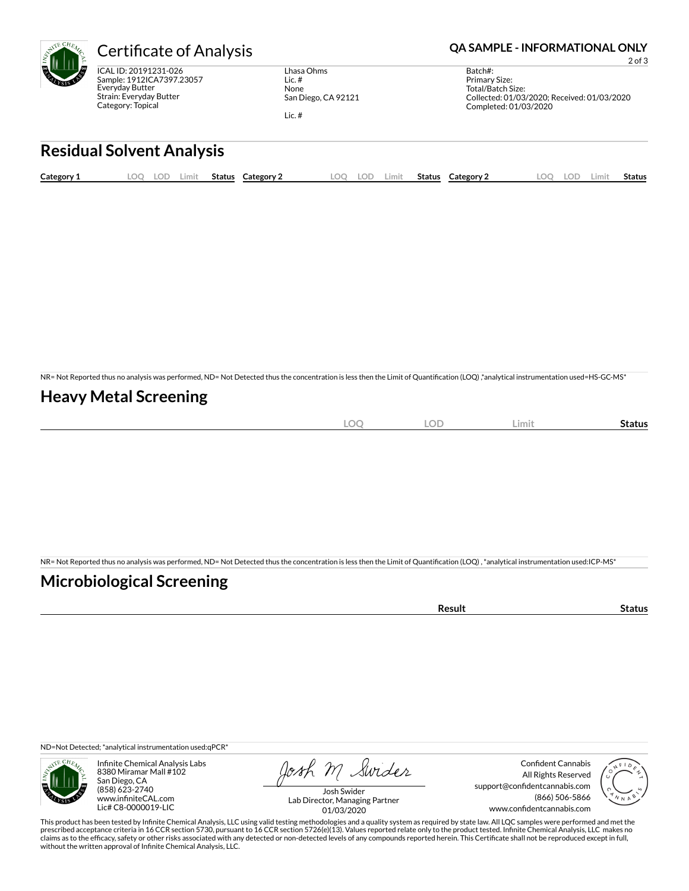

ICAL ID: 20191231-026 Sample: 1912ICA7397.23057 Everyday Butter Strain: Everyday Butter Category: Topical

Lhasa Ohms Lic. # None San Diego, CA 92121 Lic. #

#### Certificate of Analysis **Certificate of Analysis QA SAMPLE - INFORMATIONAL ONLY**

2 of 3

Batch#: Primary Size: Total/Batch Size: Collected: 01/03/2020; Received: 01/03/2020 Completed: 01/03/2020

### **Residual Solvent Analysis**

| Category 1 | .OO | .OD | ∟imit | Status | Category 2 | OC | .imit | <b>Status</b> | Category 2 | LOC | .OD | ∠imit | Status |
|------------|-----|-----|-------|--------|------------|----|-------|---------------|------------|-----|-----|-------|--------|
|            |     |     |       |        |            |    |       |               |            |     |     |       |        |

NR= Not Reported thus no analysis was performed, ND= Not Detected thus the concentration is less then the Limit of Quantification (LOQ),\*analytical instrumentation used=HS-GC-MS\*

### **Heavy Metal Screening**

| ∽<br>м<br>$-$<br>$\sim$ | $\sim$ $\sim$<br>w<br>$\sim$ | Limi | Status |
|-------------------------|------------------------------|------|--------|
|                         |                              |      |        |

NR= Not Reported thus no analysis was performed, ND= Not Detected thus the concentration is less then the Limit of Quantification (LOQ), \*analytical instrumentation used:ICP-MS\*

### **Microbiological Screening**

| sult |  |
|------|--|
|      |  |

ND=Not Detected; \*analytical instrumentation used:qPCR\*



Infinite Chemical Analysis Labs 8380 Miramar Mall #102 San Diego, CA (858) 623-2740 www.infiniteCAL.com Lic# C8-0000019-LIC

Josh M Swider

Confident Cannabis All Rights Reserved support@confidentcannabis.com (866) 506-5866 www.confidentcannabis.com



Josh Swider Lab Director, Managing Partner 01/03/2020

This product has been tested by Infinite Chemical Analysis, LLC using valid testing methodologies and a quality system as required by state law. All LQC samples were performed and met the prescribed acceptance criteria in 16 CCR section 5730, pursuant to 16 CCR section 5726(e)(13). Values reported relate only to the product tested. Infinite Chemical Analysis, LLC makes no<br>claims as to the efficacy, safety o without the written approval of Infinite Chemical Analysis, LLC.